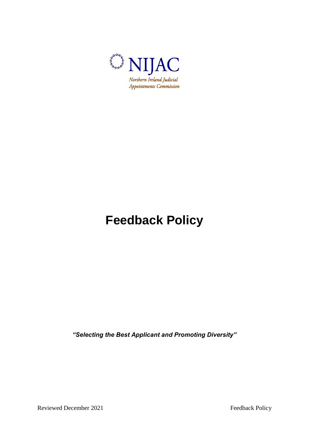

# **Feedback Policy**

*"Selecting the Best Applicant and Promoting Diversity"*

Reviewed December 2021 Feedback Policy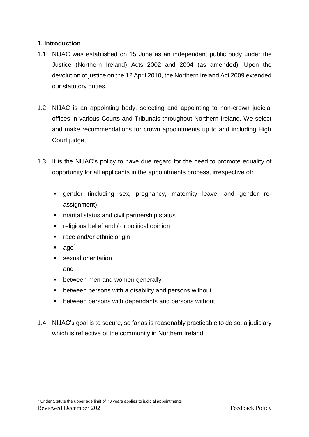## **1. Introduction**

- 1.1 NIJAC was established on 15 June as an independent public body under the Justice (Northern Ireland) Acts 2002 and 2004 (as amended). Upon the devolution of justice on the 12 April 2010, the Northern Ireland Act 2009 extended our statutory duties.
- 1.2 NIJAC is an appointing body, selecting and appointing to non-crown judicial offices in various Courts and Tribunals throughout Northern Ireland. We select and make recommendations for crown appointments up to and including High Court judge.
- 1.3 It is the NIJAC's policy to have due regard for the need to promote equality of opportunity for all applicants in the appointments process, irrespective of:
	- gender (including sex, pregnancy, maternity leave, and gender reassignment)
	- marital status and civil partnership status
	- **•** religious belief and / or political opinion
	- race and/or ethnic origin
	- $\blacksquare$  age<sup>1</sup>
	- **sexual orientation**

and

1

- **•** between men and women generally
- **EXTER** between persons with a disability and persons without
- **EXECT** between persons with dependants and persons without
- 1.4 NIJAC's goal is to secure, so far as is reasonably practicable to do so, a judiciary which is reflective of the community in Northern Ireland.

Reviewed December 2021 Feedback Policy  $1$  Under Statute the upper age limit of 70 years applies to judicial appointments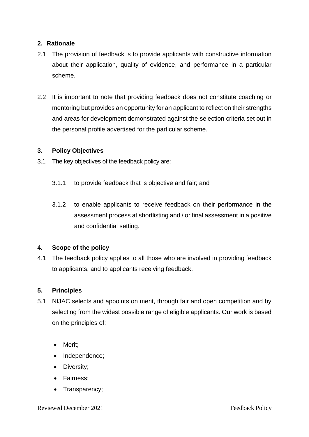#### **2. Rationale**

- 2.1 The provision of feedback is to provide applicants with constructive information about their application, quality of evidence, and performance in a particular scheme.
- 2.2 It is important to note that providing feedback does not constitute coaching or mentoring but provides an opportunity for an applicant to reflect on their strengths and areas for development demonstrated against the selection criteria set out in the personal profile advertised for the particular scheme.

#### **3. Policy Objectives**

- 3.1 The key objectives of the feedback policy are:
	- 3.1.1 to provide feedback that is objective and fair; and
	- 3.1.2 to enable applicants to receive feedback on their performance in the assessment process at shortlisting and / or final assessment in a positive and confidential setting.

#### **4. Scope of the policy**

4.1 The feedback policy applies to all those who are involved in providing feedback to applicants, and to applicants receiving feedback.

## **5. Principles**

- 5.1 NIJAC selects and appoints on merit, through fair and open competition and by selecting from the widest possible range of eligible applicants. Our work is based on the principles of:
	- Merit;
	- Independence;
	- Diversity;
	- Fairness:
	- Transparency;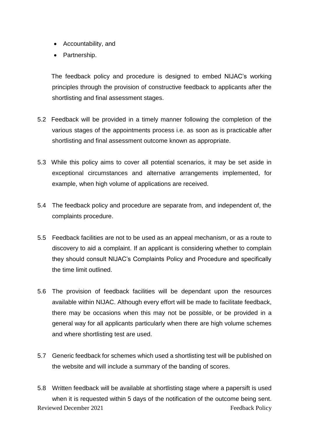- Accountability, and
- Partnership.

The feedback policy and procedure is designed to embed NIJAC's working principles through the provision of constructive feedback to applicants after the shortlisting and final assessment stages.

- 5.2 Feedback will be provided in a timely manner following the completion of the various stages of the appointments process i.e. as soon as is practicable after shortlisting and final assessment outcome known as appropriate.
- 5.3 While this policy aims to cover all potential scenarios, it may be set aside in exceptional circumstances and alternative arrangements implemented, for example, when high volume of applications are received.
- 5.4 The feedback policy and procedure are separate from, and independent of, the complaints procedure.
- 5.5 Feedback facilities are not to be used as an appeal mechanism, or as a route to discovery to aid a complaint. If an applicant is considering whether to complain they should consult NIJAC's Complaints Policy and Procedure and specifically the time limit outlined.
- 5.6 The provision of feedback facilities will be dependant upon the resources available within NIJAC. Although every effort will be made to facilitate feedback, there may be occasions when this may not be possible, or be provided in a general way for all applicants particularly when there are high volume schemes and where shortlisting test are used.
- 5.7 Generic feedback for schemes which used a shortlisting test will be published on the website and will include a summary of the banding of scores.
- Reviewed December 2021 Feedback Policy 5.8 Written feedback will be available at shortlisting stage where a papersift is used when it is requested within 5 days of the notification of the outcome being sent.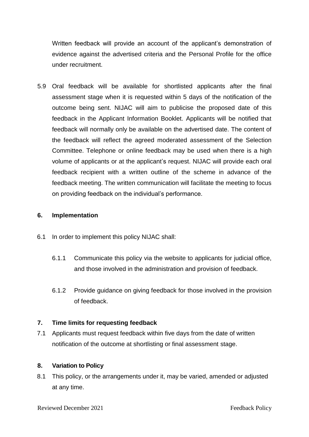Written feedback will provide an account of the applicant's demonstration of evidence against the advertised criteria and the Personal Profile for the office under recruitment.

5.9 Oral feedback will be available for shortlisted applicants after the final assessment stage when it is requested within 5 days of the notification of the outcome being sent. NIJAC will aim to publicise the proposed date of this feedback in the Applicant Information Booklet. Applicants will be notified that feedback will normally only be available on the advertised date. The content of the feedback will reflect the agreed moderated assessment of the Selection Committee. Telephone or online feedback may be used when there is a high volume of applicants or at the applicant's request. NIJAC will provide each oral feedback recipient with a written outline of the scheme in advance of the feedback meeting. The written communication will facilitate the meeting to focus on providing feedback on the individual's performance.

### **6. Implementation**

- 6.1 In order to implement this policy NIJAC shall:
	- 6.1.1 Communicate this policy via the website to applicants for judicial office, and those involved in the administration and provision of feedback.
	- 6.1.2 Provide guidance on giving feedback for those involved in the provision of feedback.

## **7. Time limits for requesting feedback**

7.1 Applicants must request feedback within five days from the date of written notification of the outcome at shortlisting or final assessment stage.

#### **8. Variation to Policy**

8.1 This policy, or the arrangements under it, may be varied, amended or adjusted at any time.